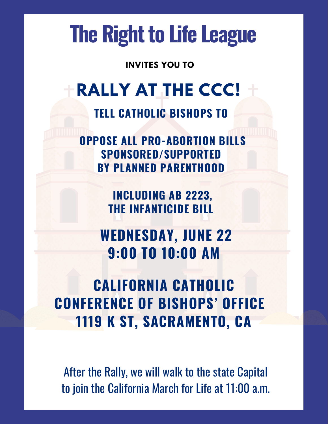# **The Right to Life League**

**INVITES YOU TO**

## **RALLY AT THE CCC!**

**TELL CATHOLIC BISHOPS TO**

**OPPOSE ALL PRO-ABORTION BILLS SPONSORED/SUPPORTED BY PLANNED PARENTHOOD**

> **INCLUDING AB 2223, THE INFANTICIDE BILL**

**WEDNESDAY, JUNE 22 9:00 TO 10:00 AM**

**CALIFORNIA CATHOLIC CONFERENCE OF BISHOPS' OFFICE 1119 K ST, SACRAMENTO, CA**

After the Rally, we will walk to the state Capital to join the California March for Life at 11:00 a.m.